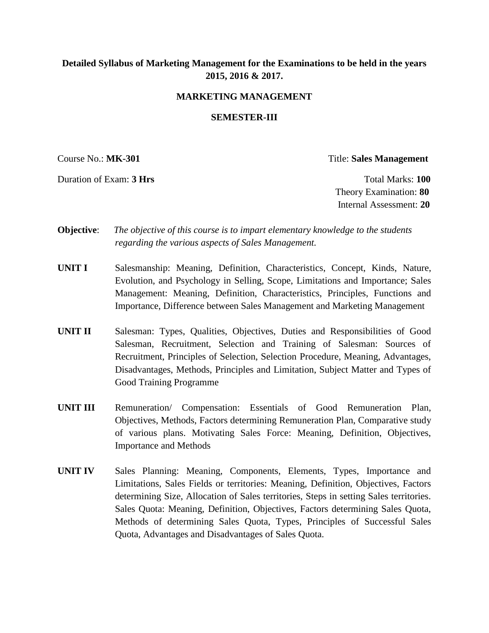# **Detailed Syllabus of Marketing Management for the Examinations to be held in the years 2015, 2016 & 2017.**

### **MARKETING MANAGEMENT**

#### **SEMESTER-III**

Course No.: **MK-301** Title: **Sales Management**

Duration of Exam: **3 Hrs Total Marks: 100** Theory Examination: **80** Internal Assessment: **20**

- **Objective**: *The objective of this course is to impart elementary knowledge to the students regarding the various aspects of Sales Management.*
- **UNIT I** Salesmanship: Meaning, Definition, Characteristics, Concept, Kinds, Nature, Evolution, and Psychology in Selling, Scope, Limitations and Importance; Sales Management: Meaning, Definition, Characteristics, Principles, Functions and Importance, Difference between Sales Management and Marketing Management
- **UNIT II** Salesman: Types, Qualities, Objectives, Duties and Responsibilities of Good Salesman, Recruitment, Selection and Training of Salesman: Sources of Recruitment, Principles of Selection, Selection Procedure, Meaning, Advantages, Disadvantages, Methods, Principles and Limitation, Subject Matter and Types of Good Training Programme
- **UNIT III** Remuneration/ Compensation: Essentials of Good Remuneration Plan, Objectives, Methods, Factors determining Remuneration Plan, Comparative study of various plans. Motivating Sales Force: Meaning, Definition, Objectives, Importance and Methods
- **UNIT IV** Sales Planning: Meaning, Components, Elements, Types, Importance and Limitations, Sales Fields or territories: Meaning, Definition, Objectives, Factors determining Size, Allocation of Sales territories, Steps in setting Sales territories. Sales Quota: Meaning, Definition, Objectives, Factors determining Sales Quota, Methods of determining Sales Quota, Types, Principles of Successful Sales Quota, Advantages and Disadvantages of Sales Quota.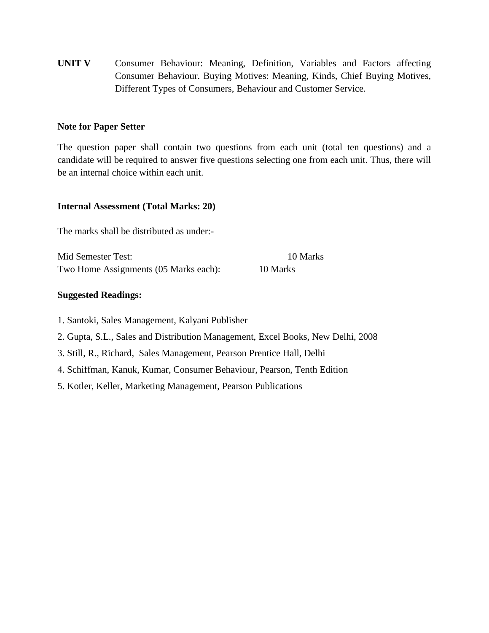**UNIT V** Consumer Behaviour: Meaning, Definition, Variables and Factors affecting Consumer Behaviour. Buying Motives: Meaning, Kinds, Chief Buying Motives, Different Types of Consumers, Behaviour and Customer Service.

## **Note for Paper Setter**

The question paper shall contain two questions from each unit (total ten questions) and a candidate will be required to answer five questions selecting one from each unit. Thus, there will be an internal choice within each unit.

## **Internal Assessment (Total Marks: 20)**

The marks shall be distributed as under:-

Mid Semester Test: 10 Marks Two Home Assignments (05 Marks each): 10 Marks

## **Suggested Readings:**

1. Santoki, Sales Management, Kalyani Publisher

- 2. Gupta, S.L., Sales and Distribution Management, Excel Books, New Delhi, 2008
- 3. Still, R., Richard, Sales Management, Pearson Prentice Hall, Delhi
- 4. Schiffman, Kanuk, Kumar, Consumer Behaviour, Pearson, Tenth Edition
- 5. Kotler, Keller, Marketing Management, Pearson Publications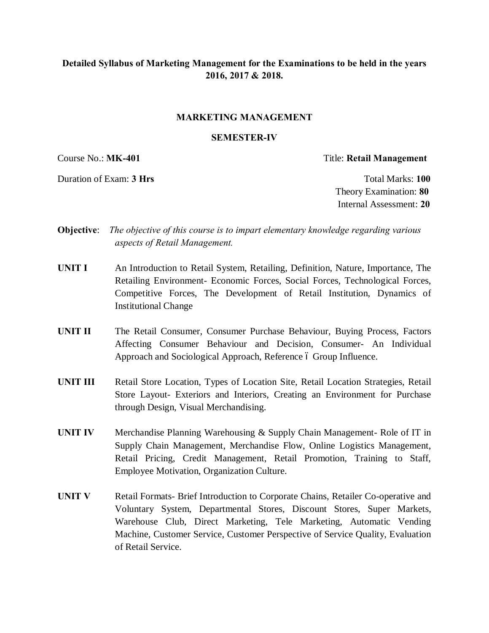# **Detailed Syllabus of Marketing Management for the Examinations to be held in the years 2016, 2017 & 2018.**

#### **MARKETING MANAGEMENT**

#### **SEMESTER-IV**

Duration of Exam: **3 Hrs Total Marks: 100** 

Course No.: **MK-401** Title: **Retail Management**

Theory Examination: **80** Internal Assessment: **20**

- **Objective**: *The objective of this course is to impart elementary knowledge regarding various aspects of Retail Management.*
- **UNIT I** An Introduction to Retail System, Retailing, Definition, Nature, Importance, The Retailing Environment- Economic Forces, Social Forces, Technological Forces, Competitive Forces, The Development of Retail Institution, Dynamics of Institutional Change
- **UNIT II** The Retail Consumer, Consumer Purchase Behaviour, Buying Process, Factors Affecting Consumer Behaviour and Decision, Consumer- An Individual Approach and Sociological Approach, Reference 6 Group Influence.
- **UNIT III** Retail Store Location, Types of Location Site, Retail Location Strategies, Retail Store Layout- Exteriors and Interiors, Creating an Environment for Purchase through Design, Visual Merchandising.
- **UNIT IV** Merchandise Planning Warehousing & Supply Chain Management- Role of IT in Supply Chain Management, Merchandise Flow, Online Logistics Management, Retail Pricing, Credit Management, Retail Promotion, Training to Staff, Employee Motivation, Organization Culture.
- **UNIT V** Retail Formats- Brief Introduction to Corporate Chains, Retailer Co-operative and Voluntary System, Departmental Stores, Discount Stores, Super Markets, Warehouse Club, Direct Marketing, Tele Marketing, Automatic Vending Machine, Customer Service, Customer Perspective of Service Quality, Evaluation of Retail Service.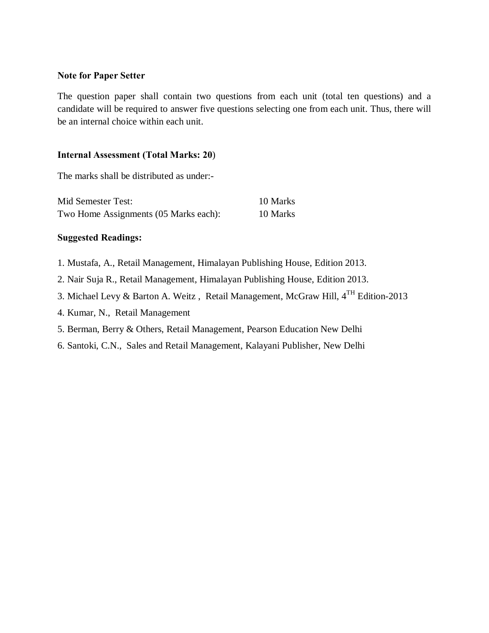## **Note for Paper Setter**

The question paper shall contain two questions from each unit (total ten questions) and a candidate will be required to answer five questions selecting one from each unit. Thus, there will be an internal choice within each unit.

## **Internal Assessment (Total Marks: 20**)

The marks shall be distributed as under:-

| Mid Semester Test:                    | 10 Marks |
|---------------------------------------|----------|
| Two Home Assignments (05 Marks each): | 10 Marks |

## **Suggested Readings:**

- 1. Mustafa, A., Retail Management, Himalayan Publishing House, Edition 2013.
- 2. Nair Suja R., Retail Management, Himalayan Publishing House, Edition 2013.
- 3. Michael Levy & Barton A. Weitz , Retail Management, McGraw Hill, 4TH Edition-2013
- 4. Kumar, N., Retail Management
- 5. Berman, Berry & Others, Retail Management, Pearson Education New Delhi
- 6. Santoki, C.N., Sales and Retail Management, Kalayani Publisher, New Delhi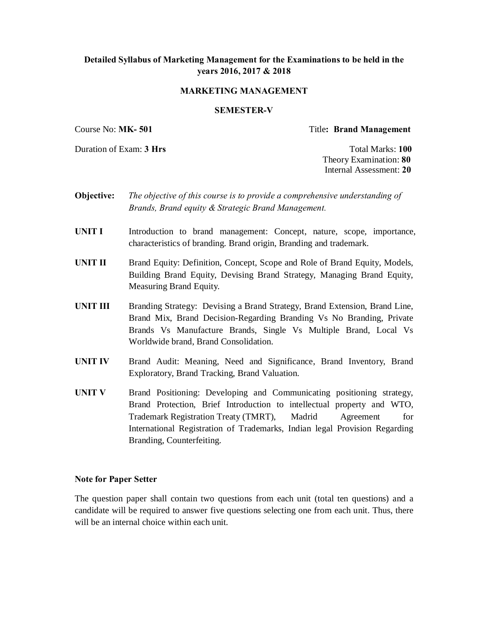## **Detailed Syllabus of Marketing Management for the Examinations to be held in the years 2016, 2017 & 2018**

#### **MARKETING MANAGEMENT**

#### **SEMESTER-V**

Course No: **MK- 501** Title**: Brand Management**

Duration of Exam: **3 Hrs** Total Marks: **100**

Theory Examination: **80** Internal Assessment: **20**

- **Objective:** *The objective of this course is to provide a comprehensive understanding of Brands, Brand equity & Strategic Brand Management.*
- **UNIT I** Introduction to brand management: Concept, nature, scope, importance, characteristics of branding. Brand origin, Branding and trademark.
- **UNIT II** Brand Equity: Definition, Concept, Scope and Role of Brand Equity, Models, Building Brand Equity, Devising Brand Strategy, Managing Brand Equity, Measuring Brand Equity.
- **UNIT III** Branding Strategy: Devising a Brand Strategy, Brand Extension, Brand Line, Brand Mix, Brand Decision-Regarding Branding Vs No Branding, Private Brands Vs Manufacture Brands, Single Vs Multiple Brand, Local Vs Worldwide brand, Brand Consolidation.
- **UNIT IV** Brand Audit: Meaning, Need and Significance, Brand Inventory, Brand Exploratory, Brand Tracking, Brand Valuation.
- **UNIT V** Brand Positioning: Developing and Communicating positioning strategy, Brand Protection, Brief Introduction to intellectual property and WTO, Trademark Registration Treaty (TMRT), Madrid Agreement for International Registration of Trademarks, Indian legal Provision Regarding Branding, Counterfeiting.

#### **Note for Paper Setter**

The question paper shall contain two questions from each unit (total ten questions) and a candidate will be required to answer five questions selecting one from each unit. Thus, there will be an internal choice within each unit.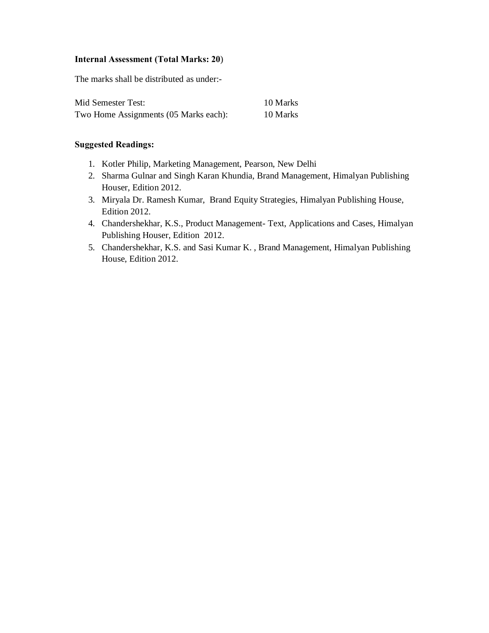## **Internal Assessment (Total Marks: 20**)

The marks shall be distributed as under:-

| Mid Semester Test:                    | 10 Marks |
|---------------------------------------|----------|
| Two Home Assignments (05 Marks each): | 10 Marks |

### **Suggested Readings:**

- 1. Kotler Philip, Marketing Management, Pearson, New Delhi
- 2. Sharma Gulnar and Singh Karan Khundia, Brand Management, Himalyan Publishing Houser, Edition 2012.
- 3. Miryala Dr. Ramesh Kumar, Brand Equity Strategies, Himalyan Publishing House, Edition 2012.
- 4. Chandershekhar, K.S., Product Management- Text, Applications and Cases, Himalyan Publishing Houser, Edition 2012.
- 5. Chandershekhar, K.S. and Sasi Kumar K. , Brand Management, Himalyan Publishing House, Edition 2012.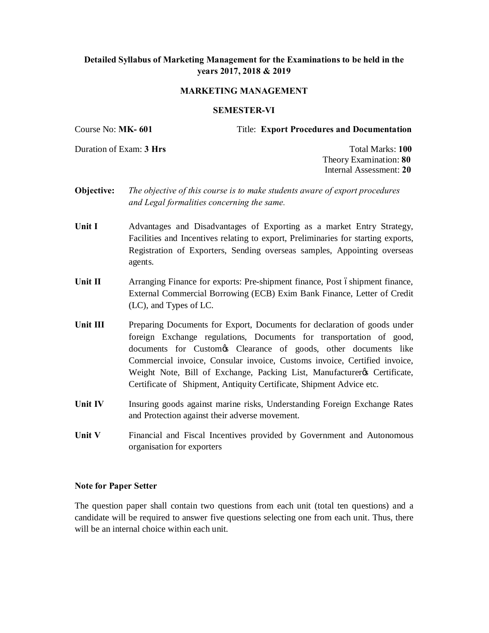## **Detailed Syllabus of Marketing Management for the Examinations to be held in the years 2017, 2018 & 2019**

#### **MARKETING MANAGEMENT**

#### **SEMESTER-VI**

Course No: **MK- 601** Title: **Export Procedures and Documentation**

Duration of Exam: **3 Hrs** Total Marks: **100**

Theory Examination: **80** Internal Assessment: **20**

- **Objective:** *The objective of this course is to make students aware of export procedures and Legal formalities concerning the same.*
- **Unit I** Advantages and Disadvantages of Exporting as a market Entry Strategy, Facilities and Incentives relating to export, Preliminaries for starting exports, Registration of Exporters, Sending overseas samples, Appointing overseas agents.
- **Unit II** Arranging Finance for exports: Pre-shipment finance, Post oshipment finance, External Commercial Borrowing (ECB) Exim Bank Finance, Letter of Credit (LC), and Types of LC.
- Unit III Preparing Documents for Export, Documents for declaration of goods under foreign Exchange regulations, Documents for transportation of good, documents for Customes Clearance of goods, other documents like Commercial invoice, Consular invoice, Customs invoice, Certified invoice, Weight Note, Bill of Exchange, Packing List, Manufacturer & Certificate, Certificate of Shipment, Antiquity Certificate, Shipment Advice etc.
- Unit IV **Insuring goods against marine risks, Understanding Foreign Exchange Rates** and Protection against their adverse movement.
- Unit V Financial and Fiscal Incentives provided by Government and Autonomous organisation for exporters

#### **Note for Paper Setter**

The question paper shall contain two questions from each unit (total ten questions) and a candidate will be required to answer five questions selecting one from each unit. Thus, there will be an internal choice within each unit.